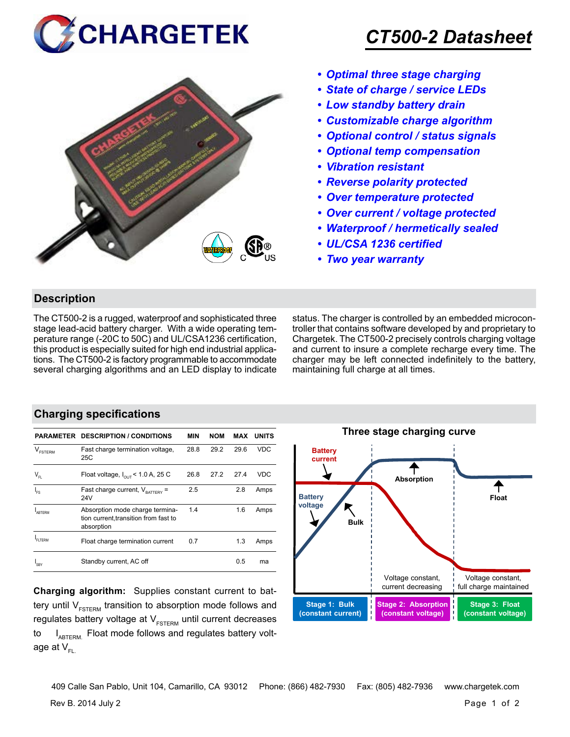



## *CT500-2 Datasheet*

- *• Optimal three stage charging*
- *• State of charge / service LEDs*
- *• Low standby battery drain*
- *• Customizable charge algorithm*
- *• Optional control / status signals*
- *• Optional temp compensation*
- *• Vibration resistant*
- *• Reverse polarity protected*
- *• Over temperature protected*
- *• Over current / voltage protected*
- *• Waterproof / hermetically sealed*
- *• UL/CSA 1236 certified*
- *• Two year warranty*

#### **Description**

The CT500-2 is a rugged, waterproof and sophisticated three stage lead-acid battery charger. With a wide operating temperature range (-20C to 50C) and UL/CSA1236 certification, this product is especially suited for high end industrial applications. The CT500-2 is factory programmable to accommodate several charging algorithms and an LED display to indicate status. The charger is controlled by an embedded microcontroller that contains software developed by and proprietary to Chargetek. The CT500-2 precisely controls charging voltage and current to insure a complete recharge every time. The charger may be left connected indefinitely to the battery, maintaining full charge at all times.

#### **Charging specifications**

|                                | PARAMETER DESCRIPTION / CONDITIONS                                                     | <b>MIN</b> | <b>NOM</b> | MAX  | <b>UNITS</b> |
|--------------------------------|----------------------------------------------------------------------------------------|------------|------------|------|--------------|
| $\mathcal{L}$<br><b>FSTERM</b> | Fast charge termination voltage,<br>25C                                                | 28.8       | 29.2       | 29.6 | <b>VDC</b>   |
| $\mathsf{V}_{\mathsf{FL}}$     | Float voltage, $I_{\text{out}}$ < 1.0 A, 25 C                                          | 26.8       | 27.2       | 27.4 | VDC          |
| l<br>Fs                        | Fast charge current, $V_{\text{partrev}} =$<br>24V                                     | 2.5        |            | 2.8  | Amps         |
| ARTFRM                         | Absorption mode charge termina-<br>tion current, transition from fast to<br>absorption | 1.4        |            | 1.6  | Amps         |
| FI TFRM                        | Float charge termination current                                                       | 0.7        |            | 1.3  | Amps         |
| I <sub>SBY</sub>               | Standby current, AC off                                                                |            |            | 0.5  | ma           |

**Charging algorithm:** Supplies constant current to battery until  $V_{ESTERM}$  transition to absorption mode follows and regulates battery voltage at  $V_{ESTFRM}$  until current decreases to  $I_{ABTERM}$ . Float mode follows and regulates battery voltage at  $V_{\text{F}}$ 



Rev B. 2014 July 2 Page 1 of 2 409 Calle San Pablo, Unit 104, Camarillo, CA 93012 Phone: (866) 482-7930 Fax: (805) 482-7936 www.chargetek.com